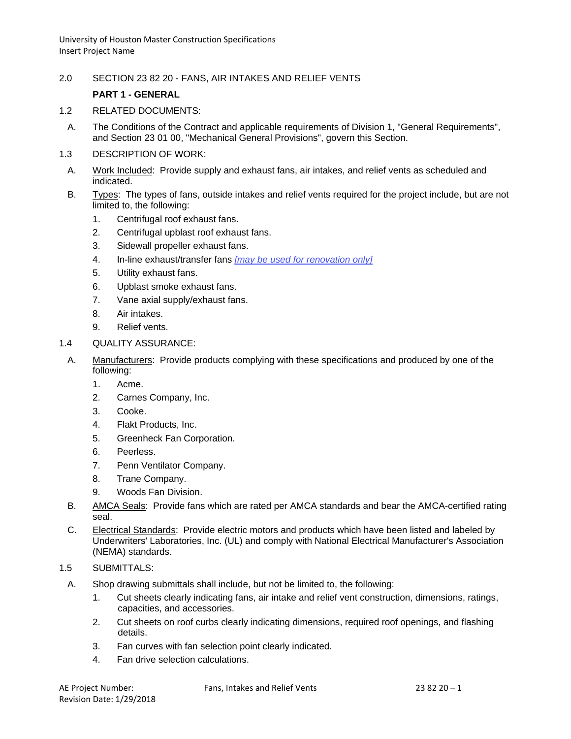2.0 SECTION 23 82 20 - FANS, AIR INTAKES AND RELIEF VENTS

# **PART 1 - GENERAL**

- 1.2 RELATED DOCUMENTS:
	- A. The Conditions of the Contract and applicable requirements of Division 1, "General Requirements", and Section 23 01 00, "Mechanical General Provisions", govern this Section.
- 1.3 DESCRIPTION OF WORK:
	- A. Work Included: Provide supply and exhaust fans, air intakes, and relief vents as scheduled and indicated.
	- B. Types: The types of fans, outside intakes and relief vents required for the project include, but are not limited to, the following:
		- 1. Centrifugal roof exhaust fans.
		- 2. Centrifugal upblast roof exhaust fans.
		- 3. Sidewall propeller exhaust fans.
		- 4. In-line exhaust/transfer fans *[may be used for renovation only]*
		- 5. Utility exhaust fans.
		- 6. Upblast smoke exhaust fans.
		- 7. Vane axial supply/exhaust fans.
		- 8. Air intakes.
		- 9. Relief vents.
- 1.4 QUALITY ASSURANCE:
- A. Manufacturers: Provide products complying with these specifications and produced by one of the following:
	- 1. Acme.
	- 2. Carnes Company, Inc.
	- 3. Cooke.
	- 4. Flakt Products, Inc.
	- 5. Greenheck Fan Corporation.
	- 6. Peerless.
	- 7. Penn Ventilator Company.
	- 8. Trane Company.
	- 9. Woods Fan Division.
- B. AMCA Seals: Provide fans which are rated per AMCA standards and bear the AMCA-certified rating seal.
- C. Electrical Standards: Provide electric motors and products which have been listed and labeled by Underwriters' Laboratories, Inc. (UL) and comply with National Electrical Manufacturer's Association (NEMA) standards.

# 1.5 SUBMITTALS:

- A. Shop drawing submittals shall include, but not be limited to, the following:
	- 1. Cut sheets clearly indicating fans, air intake and relief vent construction, dimensions, ratings, capacities, and accessories.
	- 2. Cut sheets on roof curbs clearly indicating dimensions, required roof openings, and flashing details.
	- 3. Fan curves with fan selection point clearly indicated.
	- 4. Fan drive selection calculations.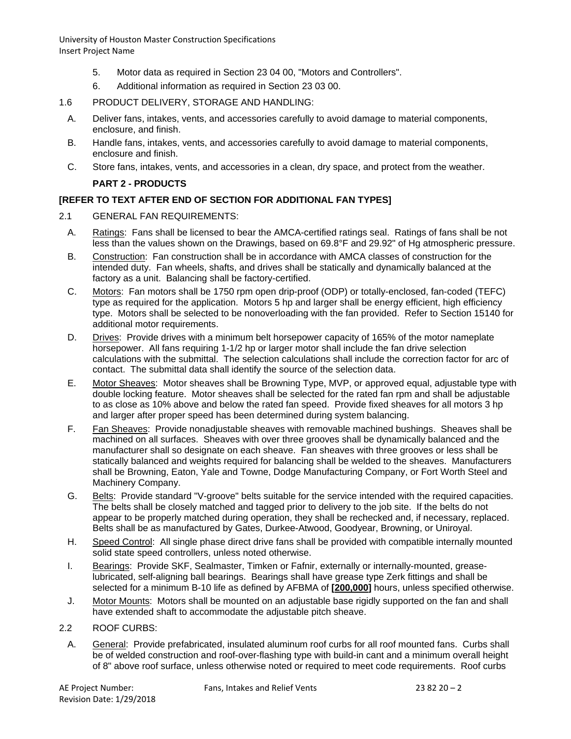- 5. Motor data as required in Section 23 04 00, "Motors and Controllers".
- 6. Additional information as required in Section 23 03 00.

# 1.6 PRODUCT DELIVERY, STORAGE AND HANDLING:

- A. Deliver fans, intakes, vents, and accessories carefully to avoid damage to material components, enclosure, and finish.
- B. Handle fans, intakes, vents, and accessories carefully to avoid damage to material components, enclosure and finish.
- C. Store fans, intakes, vents, and accessories in a clean, dry space, and protect from the weather.

# **PART 2 - PRODUCTS**

# **[REFER TO TEXT AFTER END OF SECTION FOR ADDITIONAL FAN TYPES]**

- 2.1 GENERAL FAN REQUIREMENTS:
	- A. Ratings: Fans shall be licensed to bear the AMCA-certified ratings seal. Ratings of fans shall be not less than the values shown on the Drawings, based on 69.8°F and 29.92" of Hg atmospheric pressure.
	- B. Construction: Fan construction shall be in accordance with AMCA classes of construction for the intended duty. Fan wheels, shafts, and drives shall be statically and dynamically balanced at the factory as a unit. Balancing shall be factory-certified.
	- C. Motors: Fan motors shall be 1750 rpm open drip-proof (ODP) or totally-enclosed, fan-coded (TEFC) type as required for the application. Motors 5 hp and larger shall be energy efficient, high efficiency type. Motors shall be selected to be nonoverloading with the fan provided. Refer to Section 15140 for additional motor requirements.
	- D. Drives: Provide drives with a minimum belt horsepower capacity of 165% of the motor nameplate horsepower. All fans requiring 1-1/2 hp or larger motor shall include the fan drive selection calculations with the submittal. The selection calculations shall include the correction factor for arc of contact. The submittal data shall identify the source of the selection data.
	- E. Motor Sheaves: Motor sheaves shall be Browning Type, MVP, or approved equal, adjustable type with double locking feature. Motor sheaves shall be selected for the rated fan rpm and shall be adjustable to as close as 10% above and below the rated fan speed. Provide fixed sheaves for all motors 3 hp and larger after proper speed has been determined during system balancing.
	- F. Fan Sheaves: Provide nonadjustable sheaves with removable machined bushings. Sheaves shall be machined on all surfaces. Sheaves with over three grooves shall be dynamically balanced and the manufacturer shall so designate on each sheave. Fan sheaves with three grooves or less shall be statically balanced and weights required for balancing shall be welded to the sheaves. Manufacturers shall be Browning, Eaton, Yale and Towne, Dodge Manufacturing Company, or Fort Worth Steel and Machinery Company.
	- G. Belts: Provide standard "V-groove" belts suitable for the service intended with the required capacities. The belts shall be closely matched and tagged prior to delivery to the job site. If the belts do not appear to be properly matched during operation, they shall be rechecked and, if necessary, replaced. Belts shall be as manufactured by Gates, Durkee-Atwood, Goodyear, Browning, or Uniroyal.
	- H. Speed Control: All single phase direct drive fans shall be provided with compatible internally mounted solid state speed controllers, unless noted otherwise.
	- I. Bearings: Provide SKF, Sealmaster, Timken or Fafnir, externally or internally-mounted, greaselubricated, self-aligning ball bearings. Bearings shall have grease type Zerk fittings and shall be selected for a minimum B-10 life as defined by AFBMA of **[200,000]** hours, unless specified otherwise.
	- J. Motor Mounts: Motors shall be mounted on an adjustable base rigidly supported on the fan and shall have extended shaft to accommodate the adjustable pitch sheave.
- 2.2 ROOF CURBS:
- A. General: Provide prefabricated, insulated aluminum roof curbs for all roof mounted fans. Curbs shall be of welded construction and roof-over-flashing type with build-in cant and a minimum overall height of 8" above roof surface, unless otherwise noted or required to meet code requirements. Roof curbs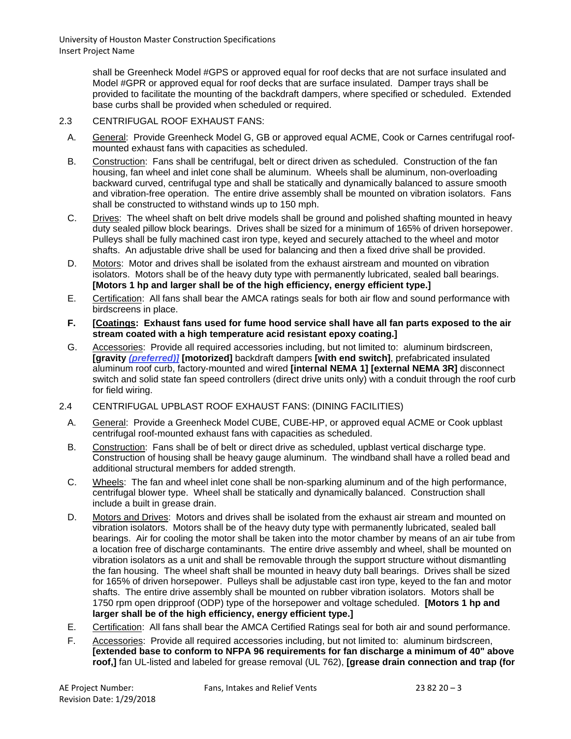> shall be Greenheck Model #GPS or approved equal for roof decks that are not surface insulated and Model #GPR or approved equal for roof decks that are surface insulated. Damper trays shall be provided to facilitate the mounting of the backdraft dampers, where specified or scheduled. Extended base curbs shall be provided when scheduled or required.

# 2.3 CENTRIFUGAL ROOF EXHAUST FANS:

- A. General: Provide Greenheck Model G, GB or approved equal ACME, Cook or Carnes centrifugal roofmounted exhaust fans with capacities as scheduled.
- B. Construction: Fans shall be centrifugal, belt or direct driven as scheduled. Construction of the fan housing, fan wheel and inlet cone shall be aluminum. Wheels shall be aluminum, non-overloading backward curved, centrifugal type and shall be statically and dynamically balanced to assure smooth and vibration-free operation. The entire drive assembly shall be mounted on vibration isolators. Fans shall be constructed to withstand winds up to 150 mph.
- C. Drives: The wheel shaft on belt drive models shall be ground and polished shafting mounted in heavy duty sealed pillow block bearings. Drives shall be sized for a minimum of 165% of driven horsepower. Pulleys shall be fully machined cast iron type, keyed and securely attached to the wheel and motor shafts. An adjustable drive shall be used for balancing and then a fixed drive shall be provided.
- D. Motors: Motor and drives shall be isolated from the exhaust airstream and mounted on vibration isolators. Motors shall be of the heavy duty type with permanently lubricated, sealed ball bearings. **[Motors 1 hp and larger shall be of the high efficiency, energy efficient type.]**
- E. Certification: All fans shall bear the AMCA ratings seals for both air flow and sound performance with birdscreens in place.
- **F. [Coatings: Exhaust fans used for fume hood service shall have all fan parts exposed to the air stream coated with a high temperature acid resistant epoxy coating.]**
- G. Accessories: Provide all required accessories including, but not limited to: aluminum birdscreen, **[gravity** *(preferred)]* **[motorized]** backdraft dampers **[with end switch]**, prefabricated insulated aluminum roof curb, factory-mounted and wired **[internal NEMA 1] [external NEMA 3R]** disconnect switch and solid state fan speed controllers (direct drive units only) with a conduit through the roof curb for field wiring.
- 2.4 CENTRIFUGAL UPBLAST ROOF EXHAUST FANS: (DINING FACILITIES)
	- A. General: Provide a Greenheck Model CUBE, CUBE-HP, or approved equal ACME or Cook upblast centrifugal roof-mounted exhaust fans with capacities as scheduled.
	- B. Construction: Fans shall be of belt or direct drive as scheduled, upblast vertical discharge type. Construction of housing shall be heavy gauge aluminum. The windband shall have a rolled bead and additional structural members for added strength.
	- C. Wheels: The fan and wheel inlet cone shall be non-sparking aluminum and of the high performance, centrifugal blower type. Wheel shall be statically and dynamically balanced. Construction shall include a built in grease drain.
	- D. Motors and Drives: Motors and drives shall be isolated from the exhaust air stream and mounted on vibration isolators. Motors shall be of the heavy duty type with permanently lubricated, sealed ball bearings. Air for cooling the motor shall be taken into the motor chamber by means of an air tube from a location free of discharge contaminants. The entire drive assembly and wheel, shall be mounted on vibration isolators as a unit and shall be removable through the support structure without dismantling the fan housing. The wheel shaft shall be mounted in heavy duty ball bearings. Drives shall be sized for 165% of driven horsepower. Pulleys shall be adjustable cast iron type, keyed to the fan and motor shafts. The entire drive assembly shall be mounted on rubber vibration isolators. Motors shall be 1750 rpm open dripproof (ODP) type of the horsepower and voltage scheduled. **[Motors 1 hp and larger shall be of the high efficiency, energy efficient type.]**
	- E. Certification: All fans shall bear the AMCA Certified Ratings seal for both air and sound performance.
	- F. Accessories: Provide all required accessories including, but not limited to: aluminum birdscreen, **[extended base to conform to NFPA 96 requirements for fan discharge a minimum of 40" above roof,]** fan UL-listed and labeled for grease removal (UL 762), **[grease drain connection and trap (for**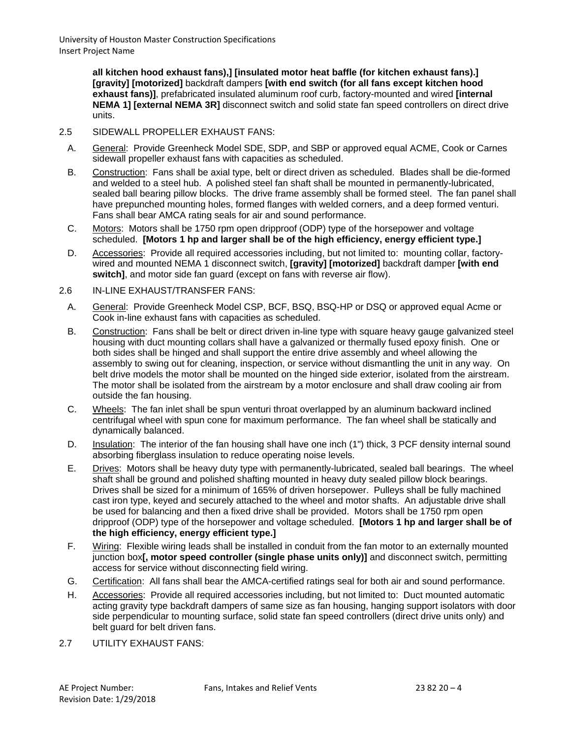> **all kitchen hood exhaust fans),] [insulated motor heat baffle (for kitchen exhaust fans).] [gravity] [motorized]** backdraft dampers **[with end switch (for all fans except kitchen hood exhaust fans)]**, prefabricated insulated aluminum roof curb, factory-mounted and wired **[internal NEMA 1] [external NEMA 3R]** disconnect switch and solid state fan speed controllers on direct drive units.

# 2.5 SIDEWALL PROPELLER EXHAUST FANS:

- A. General: Provide Greenheck Model SDE, SDP, and SBP or approved equal ACME, Cook or Carnes sidewall propeller exhaust fans with capacities as scheduled.
- B. Construction: Fans shall be axial type, belt or direct driven as scheduled. Blades shall be die-formed and welded to a steel hub. A polished steel fan shaft shall be mounted in permanently-lubricated, sealed ball bearing pillow blocks. The drive frame assembly shall be formed steel. The fan panel shall have prepunched mounting holes, formed flanges with welded corners, and a deep formed venturi. Fans shall bear AMCA rating seals for air and sound performance.
- C. Motors: Motors shall be 1750 rpm open dripproof (ODP) type of the horsepower and voltage scheduled. **[Motors 1 hp and larger shall be of the high efficiency, energy efficient type.]**
- D. Accessories: Provide all required accessories including, but not limited to: mounting collar, factorywired and mounted NEMA 1 disconnect switch, **[gravity] [motorized]** backdraft damper **[with end switch]**, and motor side fan guard (except on fans with reverse air flow).
- 2.6 IN-LINE EXHAUST/TRANSFER FANS:
	- A. General: Provide Greenheck Model CSP, BCF, BSQ, BSQ-HP or DSQ or approved equal Acme or Cook in-line exhaust fans with capacities as scheduled.
	- B. Construction: Fans shall be belt or direct driven in-line type with square heavy gauge galvanized steel housing with duct mounting collars shall have a galvanized or thermally fused epoxy finish. One or both sides shall be hinged and shall support the entire drive assembly and wheel allowing the assembly to swing out for cleaning, inspection, or service without dismantling the unit in any way. On belt drive models the motor shall be mounted on the hinged side exterior, isolated from the airstream. The motor shall be isolated from the airstream by a motor enclosure and shall draw cooling air from outside the fan housing.
	- C. Wheels: The fan inlet shall be spun venturi throat overlapped by an aluminum backward inclined centrifugal wheel with spun cone for maximum performance. The fan wheel shall be statically and dynamically balanced.
	- D. Insulation: The interior of the fan housing shall have one inch (1") thick, 3 PCF density internal sound absorbing fiberglass insulation to reduce operating noise levels.
	- E. Drives: Motors shall be heavy duty type with permanently-lubricated, sealed ball bearings. The wheel shaft shall be ground and polished shafting mounted in heavy duty sealed pillow block bearings. Drives shall be sized for a minimum of 165% of driven horsepower. Pulleys shall be fully machined cast iron type, keyed and securely attached to the wheel and motor shafts. An adjustable drive shall be used for balancing and then a fixed drive shall be provided. Motors shall be 1750 rpm open dripproof (ODP) type of the horsepower and voltage scheduled. **[Motors 1 hp and larger shall be of the high efficiency, energy efficient type.]**
	- F. Wiring: Flexible wiring leads shall be installed in conduit from the fan motor to an externally mounted junction box**[, motor speed controller (single phase units only)]** and disconnect switch, permitting access for service without disconnecting field wiring.
	- G. Certification: All fans shall bear the AMCA-certified ratings seal for both air and sound performance.
	- H. Accessories: Provide all required accessories including, but not limited to: Duct mounted automatic acting gravity type backdraft dampers of same size as fan housing, hanging support isolators with door side perpendicular to mounting surface, solid state fan speed controllers (direct drive units only) and belt guard for belt driven fans.
- 2.7 UTILITY EXHAUST FANS: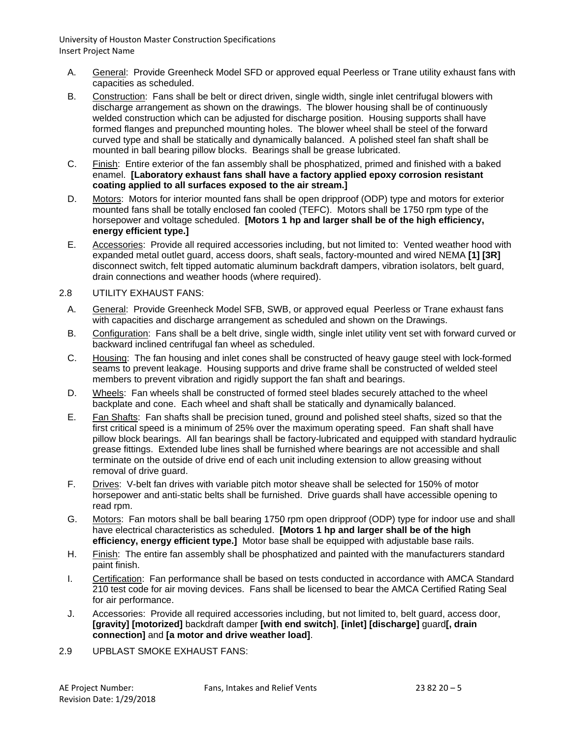- A. General: Provide Greenheck Model SFD or approved equal Peerless or Trane utility exhaust fans with capacities as scheduled.
- B. Construction: Fans shall be belt or direct driven, single width, single inlet centrifugal blowers with discharge arrangement as shown on the drawings. The blower housing shall be of continuously welded construction which can be adjusted for discharge position. Housing supports shall have formed flanges and prepunched mounting holes. The blower wheel shall be steel of the forward curved type and shall be statically and dynamically balanced. A polished steel fan shaft shall be mounted in ball bearing pillow blocks. Bearings shall be grease lubricated.
- C. Finish: Entire exterior of the fan assembly shall be phosphatized, primed and finished with a baked enamel. **[Laboratory exhaust fans shall have a factory applied epoxy corrosion resistant coating applied to all surfaces exposed to the air stream.]**
- D. Motors: Motors for interior mounted fans shall be open dripproof (ODP) type and motors for exterior mounted fans shall be totally enclosed fan cooled (TEFC). Motors shall be 1750 rpm type of the horsepower and voltage scheduled. **[Motors 1 hp and larger shall be of the high efficiency, energy efficient type.]**
- E. Accessories: Provide all required accessories including, but not limited to: Vented weather hood with expanded metal outlet guard, access doors, shaft seals, factory-mounted and wired NEMA **[1] [3R]** disconnect switch, felt tipped automatic aluminum backdraft dampers, vibration isolators, belt guard, drain connections and weather hoods (where required).

# 2.8 UTILITY EXHAUST FANS:

- A. General: Provide Greenheck Model SFB, SWB, or approved equal Peerless or Trane exhaust fans with capacities and discharge arrangement as scheduled and shown on the Drawings.
- B. Configuration: Fans shall be a belt drive, single width, single inlet utility vent set with forward curved or backward inclined centrifugal fan wheel as scheduled.
- C. Housing: The fan housing and inlet cones shall be constructed of heavy gauge steel with lock-formed seams to prevent leakage. Housing supports and drive frame shall be constructed of welded steel members to prevent vibration and rigidly support the fan shaft and bearings.
- D. Wheels: Fan wheels shall be constructed of formed steel blades securely attached to the wheel backplate and cone. Each wheel and shaft shall be statically and dynamically balanced.
- E. Fan Shafts: Fan shafts shall be precision tuned, ground and polished steel shafts, sized so that the first critical speed is a minimum of 25% over the maximum operating speed. Fan shaft shall have pillow block bearings. All fan bearings shall be factory-lubricated and equipped with standard hydraulic grease fittings. Extended lube lines shall be furnished where bearings are not accessible and shall terminate on the outside of drive end of each unit including extension to allow greasing without removal of drive guard.
- F. Drives: V-belt fan drives with variable pitch motor sheave shall be selected for 150% of motor horsepower and anti-static belts shall be furnished. Drive guards shall have accessible opening to read rpm.
- G. Motors: Fan motors shall be ball bearing 1750 rpm open dripproof (ODP) type for indoor use and shall have electrical characteristics as scheduled. **[Motors 1 hp and larger shall be of the high efficiency, energy efficient type.]** Motor base shall be equipped with adjustable base rails.
- H. Finish: The entire fan assembly shall be phosphatized and painted with the manufacturers standard paint finish.
- I. Certification: Fan performance shall be based on tests conducted in accordance with AMCA Standard 210 test code for air moving devices. Fans shall be licensed to bear the AMCA Certified Rating Seal for air performance.
- J. Accessories: Provide all required accessories including, but not limited to, belt guard, access door, **[gravity] [motorized]** backdraft damper **[with end switch]**, **[inlet] [discharge]** guard**[, drain connection]** and **[a motor and drive weather load]**.
- 2.9 UPBLAST SMOKE EXHAUST FANS: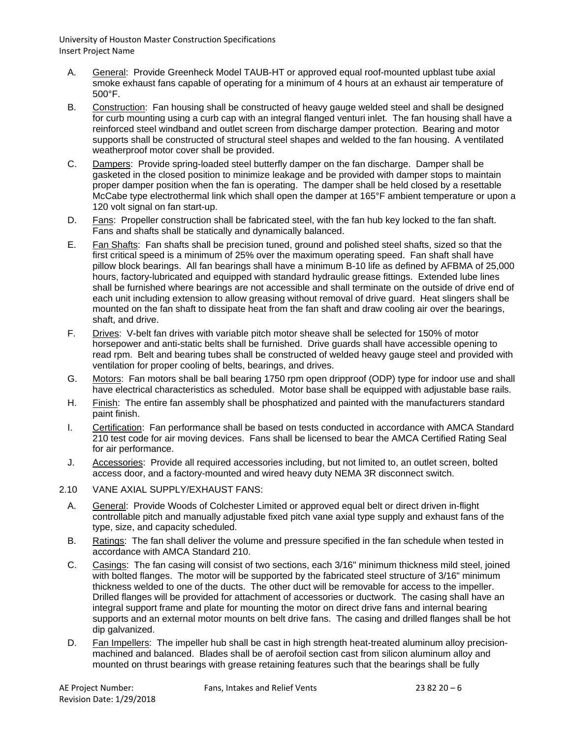- A. General: Provide Greenheck Model TAUB-HT or approved equal roof-mounted upblast tube axial smoke exhaust fans capable of operating for a minimum of 4 hours at an exhaust air temperature of 500°F.
- B. Construction: Fan housing shall be constructed of heavy gauge welded steel and shall be designed for curb mounting using a curb cap with an integral flanged venturi inlet. The fan housing shall have a reinforced steel windband and outlet screen from discharge damper protection. Bearing and motor supports shall be constructed of structural steel shapes and welded to the fan housing. A ventilated weatherproof motor cover shall be provided.
- C. Dampers: Provide spring-loaded steel butterfly damper on the fan discharge. Damper shall be gasketed in the closed position to minimize leakage and be provided with damper stops to maintain proper damper position when the fan is operating. The damper shall be held closed by a resettable McCabe type electrothermal link which shall open the damper at 165°F ambient temperature or upon a 120 volt signal on fan start-up.
- D. Fans: Propeller construction shall be fabricated steel, with the fan hub key locked to the fan shaft. Fans and shafts shall be statically and dynamically balanced.
- E. Fan Shafts: Fan shafts shall be precision tuned, ground and polished steel shafts, sized so that the first critical speed is a minimum of 25% over the maximum operating speed. Fan shaft shall have pillow block bearings. All fan bearings shall have a minimum B-10 life as defined by AFBMA of 25,000 hours, factory-lubricated and equipped with standard hydraulic grease fittings. Extended lube lines shall be furnished where bearings are not accessible and shall terminate on the outside of drive end of each unit including extension to allow greasing without removal of drive guard. Heat slingers shall be mounted on the fan shaft to dissipate heat from the fan shaft and draw cooling air over the bearings, shaft, and drive.
- F. Drives: V-belt fan drives with variable pitch motor sheave shall be selected for 150% of motor horsepower and anti-static belts shall be furnished. Drive guards shall have accessible opening to read rpm. Belt and bearing tubes shall be constructed of welded heavy gauge steel and provided with ventilation for proper cooling of belts, bearings, and drives.
- G. Motors: Fan motors shall be ball bearing 1750 rpm open dripproof (ODP) type for indoor use and shall have electrical characteristics as scheduled. Motor base shall be equipped with adjustable base rails.
- H. Finish: The entire fan assembly shall be phosphatized and painted with the manufacturers standard paint finish.
- I. Certification: Fan performance shall be based on tests conducted in accordance with AMCA Standard 210 test code for air moving devices. Fans shall be licensed to bear the AMCA Certified Rating Seal for air performance.
- J. Accessories: Provide all required accessories including, but not limited to, an outlet screen, bolted access door, and a factory-mounted and wired heavy duty NEMA 3R disconnect switch.
- 2.10 VANE AXIAL SUPPLY/EXHAUST FANS:
	- A. General: Provide Woods of Colchester Limited or approved equal belt or direct driven in-flight controllable pitch and manually adjustable fixed pitch vane axial type supply and exhaust fans of the type, size, and capacity scheduled.
	- B. Ratings: The fan shall deliver the volume and pressure specified in the fan schedule when tested in accordance with AMCA Standard 210.
	- C. Casings: The fan casing will consist of two sections, each 3/16" minimum thickness mild steel, joined with bolted flanges. The motor will be supported by the fabricated steel structure of 3/16" minimum thickness welded to one of the ducts. The other duct will be removable for access to the impeller. Drilled flanges will be provided for attachment of accessories or ductwork. The casing shall have an integral support frame and plate for mounting the motor on direct drive fans and internal bearing supports and an external motor mounts on belt drive fans. The casing and drilled flanges shall be hot dip galvanized.
	- D. Fan Impellers: The impeller hub shall be cast in high strength heat-treated aluminum alloy precisionmachined and balanced. Blades shall be of aerofoil section cast from silicon aluminum alloy and mounted on thrust bearings with grease retaining features such that the bearings shall be fully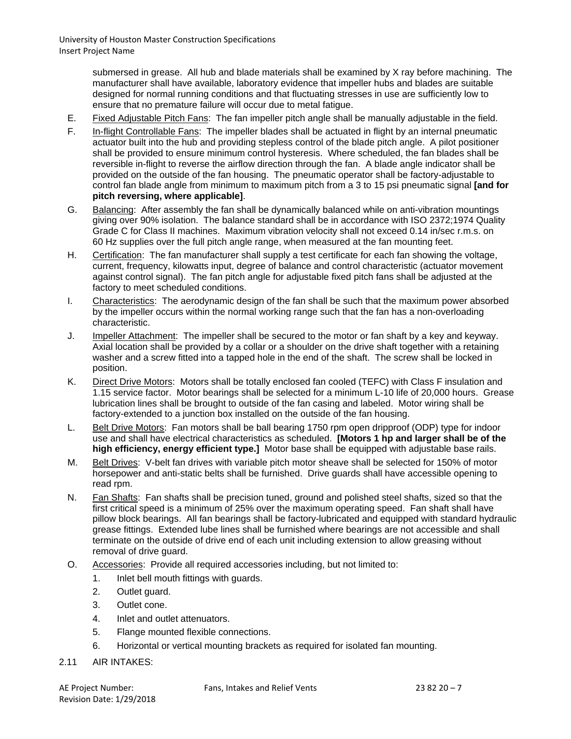submersed in grease. All hub and blade materials shall be examined by X ray before machining. The manufacturer shall have available, laboratory evidence that impeller hubs and blades are suitable designed for normal running conditions and that fluctuating stresses in use are sufficiently low to ensure that no premature failure will occur due to metal fatigue.

- E. Fixed Adjustable Pitch Fans: The fan impeller pitch angle shall be manually adjustable in the field.
- F. In-flight Controllable Fans: The impeller blades shall be actuated in flight by an internal pneumatic actuator built into the hub and providing stepless control of the blade pitch angle. A pilot positioner shall be provided to ensure minimum control hysteresis. Where scheduled, the fan blades shall be reversible in-flight to reverse the airflow direction through the fan. A blade angle indicator shall be provided on the outside of the fan housing. The pneumatic operator shall be factory-adjustable to control fan blade angle from minimum to maximum pitch from a 3 to 15 psi pneumatic signal **[and for pitch reversing, where applicable]**.
- G. Balancing: After assembly the fan shall be dynamically balanced while on anti-vibration mountings giving over 90% isolation. The balance standard shall be in accordance with ISO 2372;1974 Quality Grade C for Class II machines. Maximum vibration velocity shall not exceed 0.14 in/sec r.m.s. on 60 Hz supplies over the full pitch angle range, when measured at the fan mounting feet.
- H. Certification: The fan manufacturer shall supply a test certificate for each fan showing the voltage, current, frequency, kilowatts input, degree of balance and control characteristic (actuator movement against control signal). The fan pitch angle for adjustable fixed pitch fans shall be adjusted at the factory to meet scheduled conditions.
- I. Characteristics: The aerodynamic design of the fan shall be such that the maximum power absorbed by the impeller occurs within the normal working range such that the fan has a non-overloading characteristic.
- J. Impeller Attachment: The impeller shall be secured to the motor or fan shaft by a key and keyway. Axial location shall be provided by a collar or a shoulder on the drive shaft together with a retaining washer and a screw fitted into a tapped hole in the end of the shaft. The screw shall be locked in position.
- K. Direct Drive Motors: Motors shall be totally enclosed fan cooled (TEFC) with Class F insulation and 1.15 service factor. Motor bearings shall be selected for a minimum L-10 life of 20,000 hours. Grease lubrication lines shall be brought to outside of the fan casing and labeled. Motor wiring shall be factory-extended to a junction box installed on the outside of the fan housing.
- L. Belt Drive Motors: Fan motors shall be ball bearing 1750 rpm open dripproof (ODP) type for indoor use and shall have electrical characteristics as scheduled. **[Motors 1 hp and larger shall be of the high efficiency, energy efficient type.]** Motor base shall be equipped with adjustable base rails.
- M. Belt Drives: V-belt fan drives with variable pitch motor sheave shall be selected for 150% of motor horsepower and anti-static belts shall be furnished. Drive guards shall have accessible opening to read rpm.
- N. Fan Shafts: Fan shafts shall be precision tuned, ground and polished steel shafts, sized so that the first critical speed is a minimum of 25% over the maximum operating speed. Fan shaft shall have pillow block bearings. All fan bearings shall be factory-lubricated and equipped with standard hydraulic grease fittings. Extended lube lines shall be furnished where bearings are not accessible and shall terminate on the outside of drive end of each unit including extension to allow greasing without removal of drive guard.
- O. Accessories: Provide all required accessories including, but not limited to:
	- 1. Inlet bell mouth fittings with guards.
	- 2. Outlet guard.
	- 3. Outlet cone.
	- 4. Inlet and outlet attenuators.
	- 5. Flange mounted flexible connections.
	- 6. Horizontal or vertical mounting brackets as required for isolated fan mounting.
- 2.11 AIR INTAKES: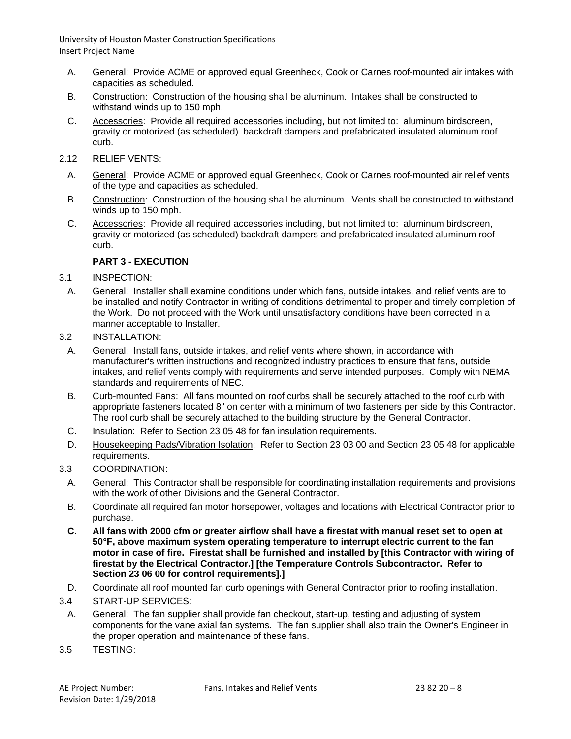- A. General: Provide ACME or approved equal Greenheck, Cook or Carnes roof-mounted air intakes with capacities as scheduled.
- B. Construction: Construction of the housing shall be aluminum. Intakes shall be constructed to withstand winds up to 150 mph.
- C. Accessories: Provide all required accessories including, but not limited to: aluminum birdscreen, gravity or motorized (as scheduled) backdraft dampers and prefabricated insulated aluminum roof curb.
- 2.12 RELIEF VENTS:
	- A. General: Provide ACME or approved equal Greenheck, Cook or Carnes roof-mounted air relief vents of the type and capacities as scheduled.
	- B. Construction: Construction of the housing shall be aluminum. Vents shall be constructed to withstand winds up to 150 mph.
	- C. Accessories: Provide all required accessories including, but not limited to: aluminum birdscreen, gravity or motorized (as scheduled) backdraft dampers and prefabricated insulated aluminum roof curb.

# **PART 3 - EXECUTION**

- 3.1 INSPECTION:
- A. General: Installer shall examine conditions under which fans, outside intakes, and relief vents are to be installed and notify Contractor in writing of conditions detrimental to proper and timely completion of the Work. Do not proceed with the Work until unsatisfactory conditions have been corrected in a manner acceptable to Installer.
- 3.2 INSTALLATION:
- A. General: Install fans, outside intakes, and relief vents where shown, in accordance with manufacturer's written instructions and recognized industry practices to ensure that fans, outside intakes, and relief vents comply with requirements and serve intended purposes. Comply with NEMA standards and requirements of NEC.
- B. Curb-mounted Fans: All fans mounted on roof curbs shall be securely attached to the roof curb with appropriate fasteners located 8" on center with a minimum of two fasteners per side by this Contractor. The roof curb shall be securely attached to the building structure by the General Contractor.
- C. Insulation: Refer to Section 23 05 48 for fan insulation requirements.
- D. Housekeeping Pads/Vibration Isolation: Refer to Section 23 03 00 and Section 23 05 48 for applicable requirements.
- 3.3 COORDINATION:
	- A. General: This Contractor shall be responsible for coordinating installation requirements and provisions with the work of other Divisions and the General Contractor.
	- B. Coordinate all required fan motor horsepower, voltages and locations with Electrical Contractor prior to purchase.
	- **C. All fans with 2000 cfm or greater airflow shall have a firestat with manual reset set to open at 50°F, above maximum system operating temperature to interrupt electric current to the fan motor in case of fire. Firestat shall be furnished and installed by [this Contractor with wiring of firestat by the Electrical Contractor.] [the Temperature Controls Subcontractor. Refer to Section 23 06 00 for control requirements].]**
- D. Coordinate all roof mounted fan curb openings with General Contractor prior to roofing installation.
- 3.4 START-UP SERVICES:
- A. General: The fan supplier shall provide fan checkout, start-up, testing and adjusting of system components for the vane axial fan systems. The fan supplier shall also train the Owner's Engineer in the proper operation and maintenance of these fans.
- 3.5 TESTING: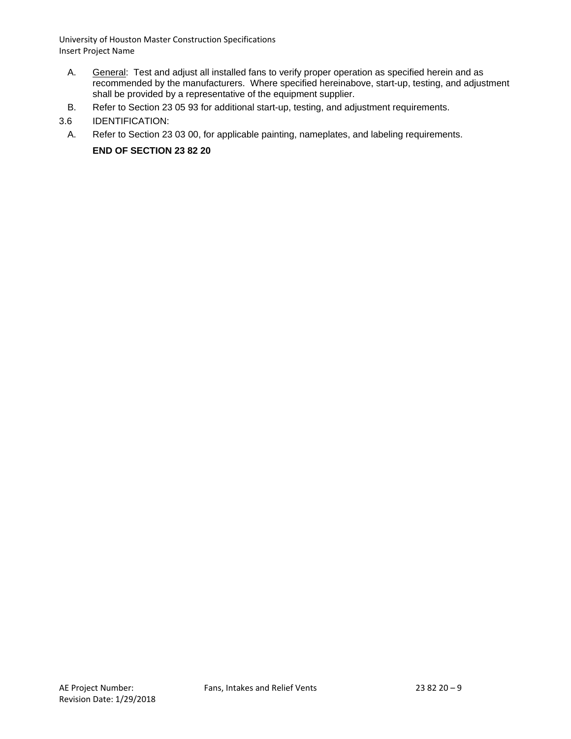- A. General: Test and adjust all installed fans to verify proper operation as specified herein and as recommended by the manufacturers. Where specified hereinabove, start-up, testing, and adjustment shall be provided by a representative of the equipment supplier.
- B. Refer to Section 23 05 93 for additional start-up, testing, and adjustment requirements.
- 3.6 IDENTIFICATION:
- A. Refer to Section 23 03 00, for applicable painting, nameplates, and labeling requirements.

**END OF SECTION 23 82 20**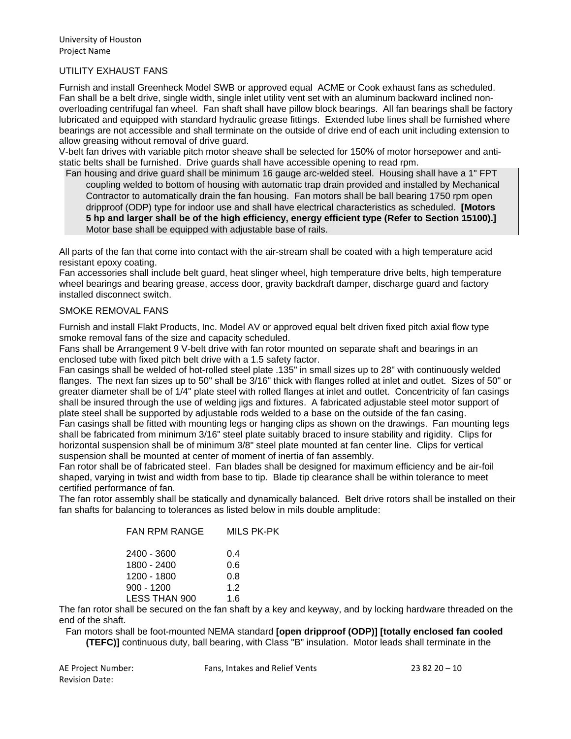## UTILITY EXHAUST FANS

Furnish and install Greenheck Model SWB or approved equal ACME or Cook exhaust fans as scheduled. Fan shall be a belt drive, single width, single inlet utility vent set with an aluminum backward inclined nonoverloading centrifugal fan wheel. Fan shaft shall have pillow block bearings. All fan bearings shall be factory lubricated and equipped with standard hydraulic grease fittings. Extended lube lines shall be furnished where bearings are not accessible and shall terminate on the outside of drive end of each unit including extension to allow greasing without removal of drive guard.

V-belt fan drives with variable pitch motor sheave shall be selected for 150% of motor horsepower and antistatic belts shall be furnished. Drive guards shall have accessible opening to read rpm.

Fan housing and drive guard shall be minimum 16 gauge arc-welded steel. Housing shall have a 1" FPT coupling welded to bottom of housing with automatic trap drain provided and installed by Mechanical Contractor to automatically drain the fan housing. Fan motors shall be ball bearing 1750 rpm open dripproof (ODP) type for indoor use and shall have electrical characteristics as scheduled. **[Motors 5 hp and larger shall be of the high efficiency, energy efficient type (Refer to Section 15100).]** Motor base shall be equipped with adjustable base of rails.

All parts of the fan that come into contact with the air-stream shall be coated with a high temperature acid resistant epoxy coating.

Fan accessories shall include belt guard, heat slinger wheel, high temperature drive belts, high temperature wheel bearings and bearing grease, access door, gravity backdraft damper, discharge guard and factory installed disconnect switch.

#### SMOKE REMOVAL FANS

Furnish and install Flakt Products, Inc. Model AV or approved equal belt driven fixed pitch axial flow type smoke removal fans of the size and capacity scheduled.

Fans shall be Arrangement 9 V-belt drive with fan rotor mounted on separate shaft and bearings in an enclosed tube with fixed pitch belt drive with a 1.5 safety factor.

Fan casings shall be welded of hot-rolled steel plate .135" in small sizes up to 28" with continuously welded flanges. The next fan sizes up to 50" shall be 3/16" thick with flanges rolled at inlet and outlet. Sizes of 50" or greater diameter shall be of 1/4" plate steel with rolled flanges at inlet and outlet. Concentricity of fan casings shall be insured through the use of welding jigs and fixtures. A fabricated adjustable steel motor support of plate steel shall be supported by adjustable rods welded to a base on the outside of the fan casing. Fan casings shall be fitted with mounting legs or hanging clips as shown on the drawings. Fan mounting legs shall be fabricated from minimum 3/16" steel plate suitably braced to insure stability and rigidity. Clips for horizontal suspension shall be of minimum 3/8" steel plate mounted at fan center line. Clips for vertical

suspension shall be mounted at center of moment of inertia of fan assembly.

Fan rotor shall be of fabricated steel. Fan blades shall be designed for maximum efficiency and be air-foil shaped, varying in twist and width from base to tip. Blade tip clearance shall be within tolerance to meet certified performance of fan.

The fan rotor assembly shall be statically and dynamically balanced. Belt drive rotors shall be installed on their fan shafts for balancing to tolerances as listed below in mils double amplitude:

| <b>FAN RPM RANGE</b> | <b>MILS PK-PK</b> |
|----------------------|-------------------|
| 2400 - 3600          | 0.4               |
| 1800 - 2400          | 0.6               |
| 1200 - 1800          | 0.8               |
| $900 - 1200$         | 1.2               |
| <b>LESS THAN 900</b> | 1.6               |

The fan rotor shall be secured on the fan shaft by a key and keyway, and by locking hardware threaded on the end of the shaft.

Fan motors shall be foot-mounted NEMA standard **[open dripproof (ODP)] [totally enclosed fan cooled (TEFC)]** continuous duty, ball bearing, with Class "B" insulation. Motor leads shall terminate in the

| AE Project Number:    |  |
|-----------------------|--|
| <b>Revision Date:</b> |  |

Fans, Intakes and Relief Vents 23 82  $20 - 10$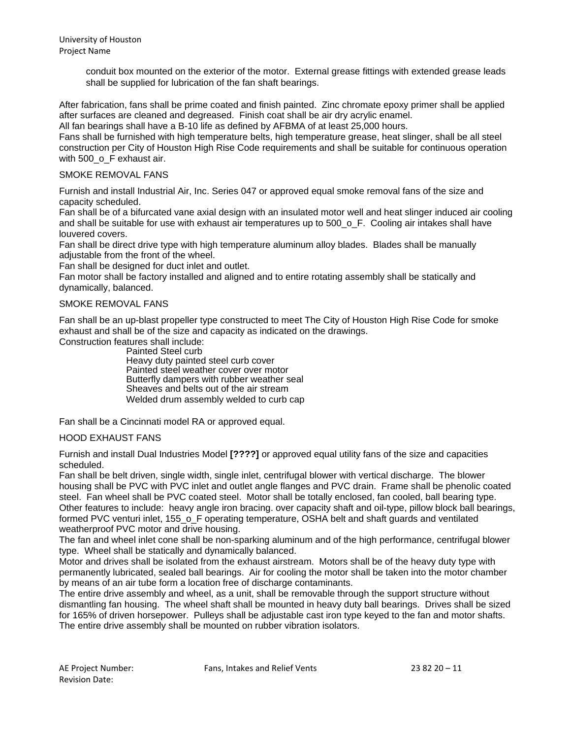conduit box mounted on the exterior of the motor. External grease fittings with extended grease leads shall be supplied for lubrication of the fan shaft bearings.

After fabrication, fans shall be prime coated and finish painted. Zinc chromate epoxy primer shall be applied after surfaces are cleaned and degreased. Finish coat shall be air dry acrylic enamel.

All fan bearings shall have a B-10 life as defined by AFBMA of at least 25,000 hours.

Fans shall be furnished with high temperature belts, high temperature grease, heat slinger, shall be all steel construction per City of Houston High Rise Code requirements and shall be suitable for continuous operation with 500\_o\_F exhaust air.

# SMOKE REMOVAL FANS

Furnish and install Industrial Air, Inc. Series 047 or approved equal smoke removal fans of the size and capacity scheduled.

Fan shall be of a bifurcated vane axial design with an insulated motor well and heat slinger induced air cooling and shall be suitable for use with exhaust air temperatures up to 500\_o\_F. Cooling air intakes shall have louvered covers.

Fan shall be direct drive type with high temperature aluminum alloy blades. Blades shall be manually adjustable from the front of the wheel.

Fan shall be designed for duct inlet and outlet.

Fan motor shall be factory installed and aligned and to entire rotating assembly shall be statically and dynamically, balanced.

#### SMOKE REMOVAL FANS

Fan shall be an up-blast propeller type constructed to meet The City of Houston High Rise Code for smoke exhaust and shall be of the size and capacity as indicated on the drawings.

Construction features shall include:

Painted Steel curb Heavy duty painted steel curb cover Painted steel weather cover over motor Butterfly dampers with rubber weather seal Sheaves and belts out of the air stream Welded drum assembly welded to curb cap

Fan shall be a Cincinnati model RA or approved equal.

# HOOD EXHAUST FANS

Furnish and install Dual Industries Model **[????]** or approved equal utility fans of the size and capacities scheduled.

Fan shall be belt driven, single width, single inlet, centrifugal blower with vertical discharge. The blower housing shall be PVC with PVC inlet and outlet angle flanges and PVC drain. Frame shall be phenolic coated steel. Fan wheel shall be PVC coated steel. Motor shall be totally enclosed, fan cooled, ball bearing type. Other features to include: heavy angle iron bracing. over capacity shaft and oil-type, pillow block ball bearings, formed PVC venturi inlet, 155\_o\_F operating temperature, OSHA belt and shaft guards and ventilated weatherproof PVC motor and drive housing.

The fan and wheel inlet cone shall be non-sparking aluminum and of the high performance, centrifugal blower type. Wheel shall be statically and dynamically balanced.

Motor and drives shall be isolated from the exhaust airstream. Motors shall be of the heavy duty type with permanently lubricated, sealed ball bearings. Air for cooling the motor shall be taken into the motor chamber by means of an air tube form a location free of discharge contaminants.

The entire drive assembly and wheel, as a unit, shall be removable through the support structure without dismantling fan housing. The wheel shaft shall be mounted in heavy duty ball bearings. Drives shall be sized for 165% of driven horsepower. Pulleys shall be adjustable cast iron type keyed to the fan and motor shafts. The entire drive assembly shall be mounted on rubber vibration isolators.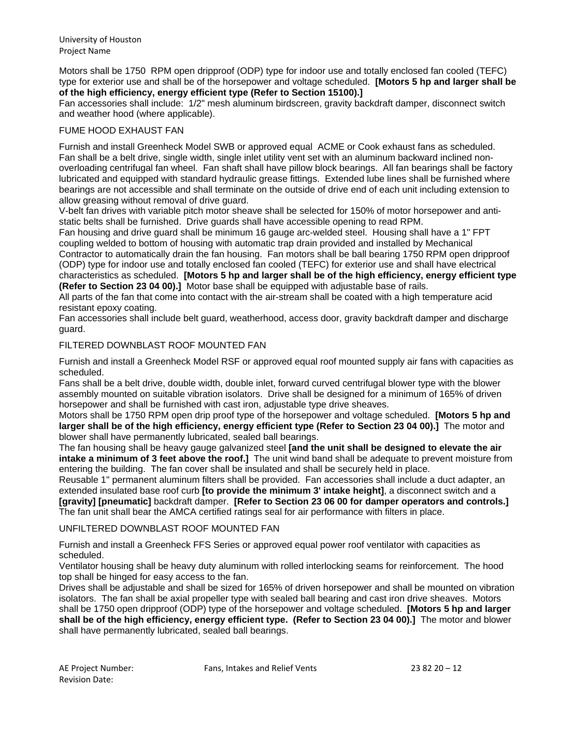Motors shall be 1750 RPM open dripproof (ODP) type for indoor use and totally enclosed fan cooled (TEFC) type for exterior use and shall be of the horsepower and voltage scheduled. **[Motors 5 hp and larger shall be of the high efficiency, energy efficient type (Refer to Section 15100).]**

Fan accessories shall include: 1/2" mesh aluminum birdscreen, gravity backdraft damper, disconnect switch and weather hood (where applicable).

# FUME HOOD EXHAUST FAN

Furnish and install Greenheck Model SWB or approved equal ACME or Cook exhaust fans as scheduled. Fan shall be a belt drive, single width, single inlet utility vent set with an aluminum backward inclined nonoverloading centrifugal fan wheel. Fan shaft shall have pillow block bearings. All fan bearings shall be factory lubricated and equipped with standard hydraulic grease fittings. Extended lube lines shall be furnished where bearings are not accessible and shall terminate on the outside of drive end of each unit including extension to allow greasing without removal of drive guard.

V-belt fan drives with variable pitch motor sheave shall be selected for 150% of motor horsepower and antistatic belts shall be furnished. Drive guards shall have accessible opening to read RPM.

Fan housing and drive guard shall be minimum 16 gauge arc-welded steel. Housing shall have a 1" FPT coupling welded to bottom of housing with automatic trap drain provided and installed by Mechanical

Contractor to automatically drain the fan housing. Fan motors shall be ball bearing 1750 RPM open dripproof (ODP) type for indoor use and totally enclosed fan cooled (TEFC) for exterior use and shall have electrical characteristics as scheduled. **[Motors 5 hp and larger shall be of the high efficiency, energy efficient type (Refer to Section 23 04 00).]** Motor base shall be equipped with adjustable base of rails.

All parts of the fan that come into contact with the air-stream shall be coated with a high temperature acid resistant epoxy coating.

Fan accessories shall include belt guard, weatherhood, access door, gravity backdraft damper and discharge guard.

#### FILTERED DOWNBLAST ROOF MOUNTED FAN

Furnish and install a Greenheck Model RSF or approved equal roof mounted supply air fans with capacities as scheduled.

Fans shall be a belt drive, double width, double inlet, forward curved centrifugal blower type with the blower assembly mounted on suitable vibration isolators. Drive shall be designed for a minimum of 165% of driven horsepower and shall be furnished with cast iron, adjustable type drive sheaves.

Motors shall be 1750 RPM open drip proof type of the horsepower and voltage scheduled. **[Motors 5 hp and larger shall be of the high efficiency, energy efficient type (Refer to Section 23 04 00).]** The motor and blower shall have permanently lubricated, sealed ball bearings.

The fan housing shall be heavy gauge galvanized steel **[and the unit shall be designed to elevate the air intake a minimum of 3 feet above the roof.]** The unit wind band shall be adequate to prevent moisture from entering the building. The fan cover shall be insulated and shall be securely held in place.

Reusable 1" permanent aluminum filters shall be provided. Fan accessories shall include a duct adapter, an extended insulated base roof curb **[to provide the minimum 3' intake height]**, a disconnect switch and a **[gravity] [pneumatic]** backdraft damper. **[Refer to Section 23 06 00 for damper operators and controls.]** The fan unit shall bear the AMCA certified ratings seal for air performance with filters in place.

# UNFILTERED DOWNBLAST ROOF MOUNTED FAN

Furnish and install a Greenheck FFS Series or approved equal power roof ventilator with capacities as scheduled.

Ventilator housing shall be heavy duty aluminum with rolled interlocking seams for reinforcement. The hood top shall be hinged for easy access to the fan.

Drives shall be adjustable and shall be sized for 165% of driven horsepower and shall be mounted on vibration isolators. The fan shall be axial propeller type with sealed ball bearing and cast iron drive sheaves. Motors shall be 1750 open dripproof (ODP) type of the horsepower and voltage scheduled. **[Motors 5 hp and larger shall be of the high efficiency, energy efficient type. (Refer to Section 23 04 00).]** The motor and blower shall have permanently lubricated, sealed ball bearings.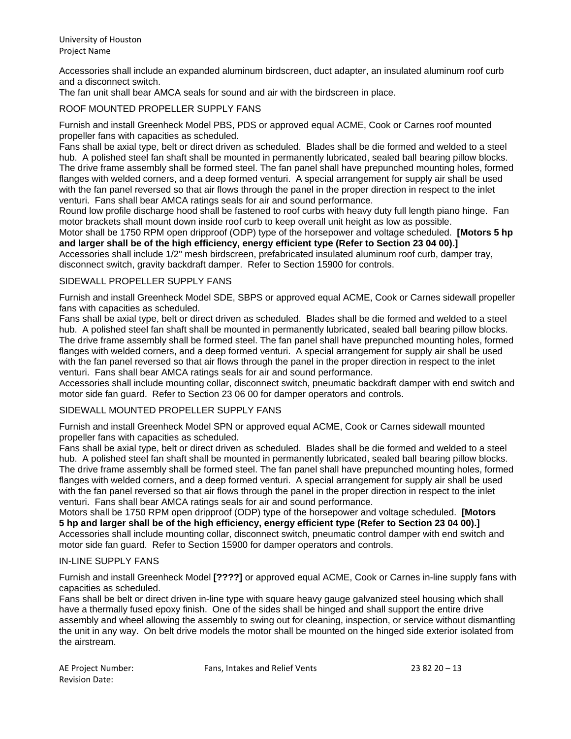Accessories shall include an expanded aluminum birdscreen, duct adapter, an insulated aluminum roof curb and a disconnect switch.

The fan unit shall bear AMCA seals for sound and air with the birdscreen in place.

#### ROOF MOUNTED PROPELLER SUPPLY FANS

Furnish and install Greenheck Model PBS, PDS or approved equal ACME, Cook or Carnes roof mounted propeller fans with capacities as scheduled.

Fans shall be axial type, belt or direct driven as scheduled. Blades shall be die formed and welded to a steel hub. A polished steel fan shaft shall be mounted in permanently lubricated, sealed ball bearing pillow blocks. The drive frame assembly shall be formed steel. The fan panel shall have prepunched mounting holes, formed flanges with welded corners, and a deep formed venturi. A special arrangement for supply air shall be used with the fan panel reversed so that air flows through the panel in the proper direction in respect to the inlet venturi. Fans shall bear AMCA ratings seals for air and sound performance.

Round low profile discharge hood shall be fastened to roof curbs with heavy duty full length piano hinge. Fan motor brackets shall mount down inside roof curb to keep overall unit height as low as possible.

Motor shall be 1750 RPM open dripproof (ODP) type of the horsepower and voltage scheduled. **[Motors 5 hp and larger shall be of the high efficiency, energy efficient type (Refer to Section 23 04 00).]**

Accessories shall include 1/2" mesh birdscreen, prefabricated insulated aluminum roof curb, damper tray, disconnect switch, gravity backdraft damper. Refer to Section 15900 for controls.

#### SIDEWALL PROPELLER SUPPLY FANS

Furnish and install Greenheck Model SDE, SBPS or approved equal ACME, Cook or Carnes sidewall propeller fans with capacities as scheduled.

Fans shall be axial type, belt or direct driven as scheduled. Blades shall be die formed and welded to a steel hub. A polished steel fan shaft shall be mounted in permanently lubricated, sealed ball bearing pillow blocks. The drive frame assembly shall be formed steel. The fan panel shall have prepunched mounting holes, formed flanges with welded corners, and a deep formed venturi. A special arrangement for supply air shall be used with the fan panel reversed so that air flows through the panel in the proper direction in respect to the inlet venturi. Fans shall bear AMCA ratings seals for air and sound performance.

Accessories shall include mounting collar, disconnect switch, pneumatic backdraft damper with end switch and motor side fan guard. Refer to Section 23 06 00 for damper operators and controls.

#### SIDEWALL MOUNTED PROPELLER SUPPLY FANS

Furnish and install Greenheck Model SPN or approved equal ACME, Cook or Carnes sidewall mounted propeller fans with capacities as scheduled.

Fans shall be axial type, belt or direct driven as scheduled. Blades shall be die formed and welded to a steel hub. A polished steel fan shaft shall be mounted in permanently lubricated, sealed ball bearing pillow blocks. The drive frame assembly shall be formed steel. The fan panel shall have prepunched mounting holes, formed flanges with welded corners, and a deep formed venturi. A special arrangement for supply air shall be used with the fan panel reversed so that air flows through the panel in the proper direction in respect to the inlet venturi. Fans shall bear AMCA ratings seals for air and sound performance.

Motors shall be 1750 RPM open dripproof (ODP) type of the horsepower and voltage scheduled. **[Motors 5 hp and larger shall be of the high efficiency, energy efficient type (Refer to Section 23 04 00).]** Accessories shall include mounting collar, disconnect switch, pneumatic control damper with end switch and motor side fan guard. Refer to Section 15900 for damper operators and controls.

#### IN-LINE SUPPLY FANS

Furnish and install Greenheck Model **[????]** or approved equal ACME, Cook or Carnes in-line supply fans with capacities as scheduled.

Fans shall be belt or direct driven in-line type with square heavy gauge galvanized steel housing which shall have a thermally fused epoxy finish. One of the sides shall be hinged and shall support the entire drive assembly and wheel allowing the assembly to swing out for cleaning, inspection, or service without dismantling the unit in any way. On belt drive models the motor shall be mounted on the hinged side exterior isolated from the airstream.

| AE Project Number:    |  |
|-----------------------|--|
| <b>Revision Date:</b> |  |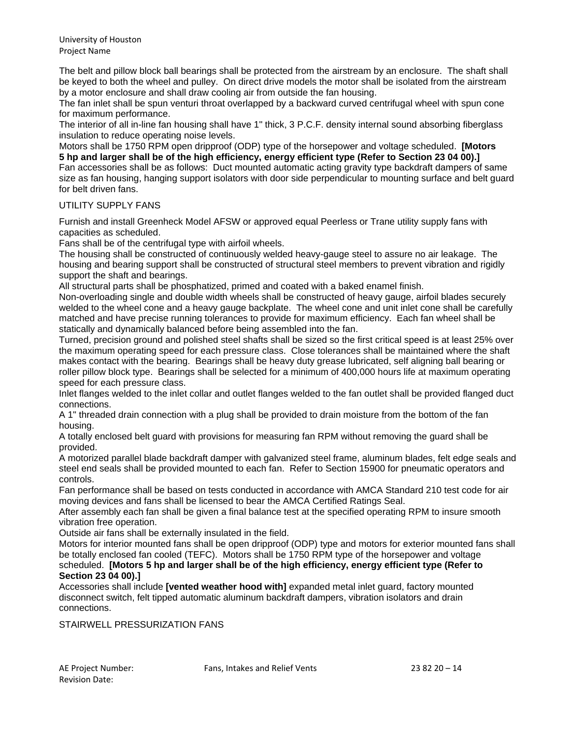The belt and pillow block ball bearings shall be protected from the airstream by an enclosure. The shaft shall be keyed to both the wheel and pulley. On direct drive models the motor shall be isolated from the airstream by a motor enclosure and shall draw cooling air from outside the fan housing.

The fan inlet shall be spun venturi throat overlapped by a backward curved centrifugal wheel with spun cone for maximum performance.

The interior of all in-line fan housing shall have 1" thick, 3 P.C.F. density internal sound absorbing fiberglass insulation to reduce operating noise levels.

Motors shall be 1750 RPM open dripproof (ODP) type of the horsepower and voltage scheduled. **[Motors 5 hp and larger shall be of the high efficiency, energy efficient type (Refer to Section 23 04 00).]** Fan accessories shall be as follows: Duct mounted automatic acting gravity type backdraft dampers of same size as fan housing, hanging support isolators with door side perpendicular to mounting surface and belt guard for belt driven fans.

# UTILITY SUPPLY FANS

Furnish and install Greenheck Model AFSW or approved equal Peerless or Trane utility supply fans with capacities as scheduled.

Fans shall be of the centrifugal type with airfoil wheels.

The housing shall be constructed of continuously welded heavy-gauge steel to assure no air leakage. The housing and bearing support shall be constructed of structural steel members to prevent vibration and rigidly support the shaft and bearings.

All structural parts shall be phosphatized, primed and coated with a baked enamel finish.

Non-overloading single and double width wheels shall be constructed of heavy gauge, airfoil blades securely welded to the wheel cone and a heavy gauge backplate. The wheel cone and unit inlet cone shall be carefully matched and have precise running tolerances to provide for maximum efficiency. Each fan wheel shall be statically and dynamically balanced before being assembled into the fan.

Turned, precision ground and polished steel shafts shall be sized so the first critical speed is at least 25% over the maximum operating speed for each pressure class. Close tolerances shall be maintained where the shaft makes contact with the bearing. Bearings shall be heavy duty grease lubricated, self aligning ball bearing or roller pillow block type. Bearings shall be selected for a minimum of 400,000 hours life at maximum operating speed for each pressure class.

Inlet flanges welded to the inlet collar and outlet flanges welded to the fan outlet shall be provided flanged duct connections.

A 1" threaded drain connection with a plug shall be provided to drain moisture from the bottom of the fan housing.

A totally enclosed belt guard with provisions for measuring fan RPM without removing the guard shall be provided.

A motorized parallel blade backdraft damper with galvanized steel frame, aluminum blades, felt edge seals and steel end seals shall be provided mounted to each fan. Refer to Section 15900 for pneumatic operators and controls.

Fan performance shall be based on tests conducted in accordance with AMCA Standard 210 test code for air moving devices and fans shall be licensed to bear the AMCA Certified Ratings Seal.

After assembly each fan shall be given a final balance test at the specified operating RPM to insure smooth vibration free operation.

Outside air fans shall be externally insulated in the field.

Motors for interior mounted fans shall be open dripproof (ODP) type and motors for exterior mounted fans shall be totally enclosed fan cooled (TEFC). Motors shall be 1750 RPM type of the horsepower and voltage scheduled. **[Motors 5 hp and larger shall be of the high efficiency, energy efficient type (Refer to Section 23 04 00).]**

Accessories shall include **[vented weather hood with]** expanded metal inlet guard, factory mounted disconnect switch, felt tipped automatic aluminum backdraft dampers, vibration isolators and drain connections.

STAIRWELL PRESSURIZATION FANS

Revision Date:

AE Project Number: Fans, Intakes and Relief Vents 23 82 20 – 14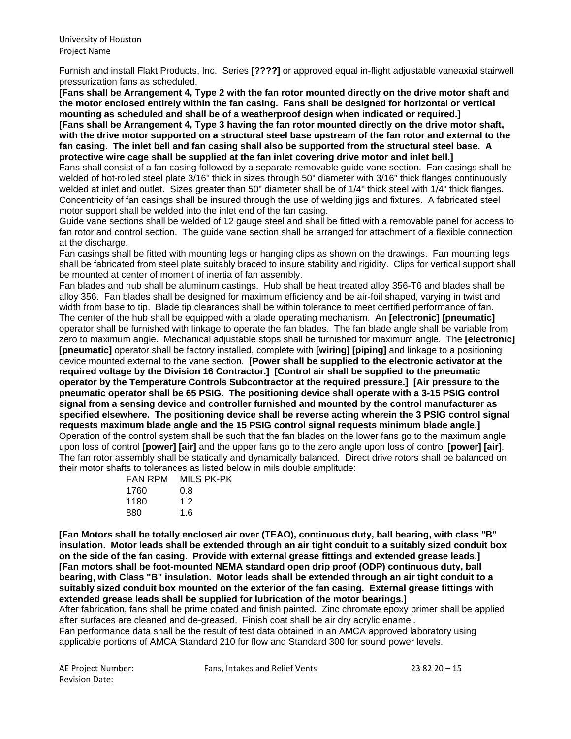Furnish and install Flakt Products, Inc. Series **[????]** or approved equal in-flight adjustable vaneaxial stairwell pressurization fans as scheduled.

**[Fans shall be Arrangement 4, Type 2 with the fan rotor mounted directly on the drive motor shaft and the motor enclosed entirely within the fan casing. Fans shall be designed for horizontal or vertical mounting as scheduled and shall be of a weatherproof design when indicated or required.] [Fans shall be Arrangement 4, Type 3 having the fan rotor mounted directly on the drive motor shaft, with the drive motor supported on a structural steel base upstream of the fan rotor and external to the fan casing. The inlet bell and fan casing shall also be supported from the structural steel base. A protective wire cage shall be supplied at the fan inlet covering drive motor and inlet bell.]**

Fans shall consist of a fan casing followed by a separate removable guide vane section. Fan casings shall be welded of hot-rolled steel plate 3/16" thick in sizes through 50" diameter with 3/16" thick flanges continuously welded at inlet and outlet. Sizes greater than 50" diameter shall be of 1/4" thick steel with 1/4" thick flanges. Concentricity of fan casings shall be insured through the use of welding jigs and fixtures. A fabricated steel motor support shall be welded into the inlet end of the fan casing.

Guide vane sections shall be welded of 12 gauge steel and shall be fitted with a removable panel for access to fan rotor and control section. The guide vane section shall be arranged for attachment of a flexible connection at the discharge.

Fan casings shall be fitted with mounting legs or hanging clips as shown on the drawings. Fan mounting legs shall be fabricated from steel plate suitably braced to insure stability and rigidity. Clips for vertical support shall be mounted at center of moment of inertia of fan assembly.

Fan blades and hub shall be aluminum castings. Hub shall be heat treated alloy 356-T6 and blades shall be alloy 356. Fan blades shall be designed for maximum efficiency and be air-foil shaped, varying in twist and width from base to tip. Blade tip clearances shall be within tolerance to meet certified performance of fan. The center of the hub shall be equipped with a blade operating mechanism. An **[electronic] [pneumatic]** operator shall be furnished with linkage to operate the fan blades. The fan blade angle shall be variable from zero to maximum angle. Mechanical adjustable stops shall be furnished for maximum angle. The **[electronic] [pneumatic]** operator shall be factory installed, complete with **[wiring] [piping]** and linkage to a positioning device mounted external to the vane section. **[Power shall be supplied to the electronic activator at the required voltage by the Division 16 Contractor.] [Control air shall be supplied to the pneumatic operator by the Temperature Controls Subcontractor at the required pressure.] [Air pressure to the pneumatic operator shall be 65 PSIG. The positioning device shall operate with a 3-15 PSIG control signal from a sensing device and controller furnished and mounted by the control manufacturer as specified elsewhere. The positioning device shall be reverse acting wherein the 3 PSIG control signal requests maximum blade angle and the 15 PSIG control signal requests minimum blade angle.]** Operation of the control system shall be such that the fan blades on the lower fans go to the maximum angle upon loss of control **[power] [air]** and the upper fans go to the zero angle upon loss of control **[power] [air]**. The fan rotor assembly shall be statically and dynamically balanced. Direct drive rotors shall be balanced on their motor shafts to tolerances as listed below in mils double amplitude:

| MILS PK-PK |
|------------|
| 0.8        |
| 12         |
| 1.6        |
|            |

**[Fan Motors shall be totally enclosed air over (TEAO), continuous duty, ball bearing, with class "B" insulation. Motor leads shall be extended through an air tight conduit to a suitably sized conduit box on the side of the fan casing. Provide with external grease fittings and extended grease leads.] [Fan motors shall be foot-mounted NEMA standard open drip proof (ODP) continuous duty, ball bearing, with Class "B" insulation. Motor leads shall be extended through an air tight conduit to a suitably sized conduit box mounted on the exterior of the fan casing. External grease fittings with extended grease leads shall be supplied for lubrication of the motor bearings.]**

After fabrication, fans shall be prime coated and finish painted. Zinc chromate epoxy primer shall be applied after surfaces are cleaned and de-greased. Finish coat shall be air dry acrylic enamel.

Fan performance data shall be the result of test data obtained in an AMCA approved laboratory using applicable portions of AMCA Standard 210 for flow and Standard 300 for sound power levels.

Revision Date:

AE Project Number: Fans, Intakes and Relief Vents 23 82 20 – 15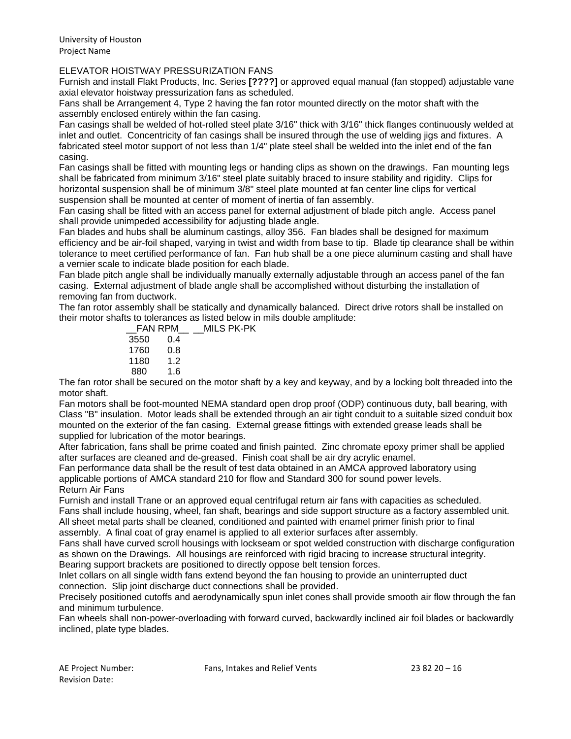#### ELEVATOR HOISTWAY PRESSURIZATION FANS

Furnish and install Flakt Products, Inc. Series **[????]** or approved equal manual (fan stopped) adjustable vane axial elevator hoistway pressurization fans as scheduled.

Fans shall be Arrangement 4, Type 2 having the fan rotor mounted directly on the motor shaft with the assembly enclosed entirely within the fan casing.

Fan casings shall be welded of hot-rolled steel plate 3/16" thick with 3/16" thick flanges continuously welded at inlet and outlet. Concentricity of fan casings shall be insured through the use of welding jigs and fixtures. A fabricated steel motor support of not less than 1/4" plate steel shall be welded into the inlet end of the fan casing.

Fan casings shall be fitted with mounting legs or handing clips as shown on the drawings. Fan mounting legs shall be fabricated from minimum 3/16" steel plate suitably braced to insure stability and rigidity. Clips for horizontal suspension shall be of minimum 3/8" steel plate mounted at fan center line clips for vertical suspension shall be mounted at center of moment of inertia of fan assembly.

Fan casing shall be fitted with an access panel for external adjustment of blade pitch angle. Access panel shall provide unimpeded accessibility for adjusting blade angle.

Fan blades and hubs shall be aluminum castings, alloy 356. Fan blades shall be designed for maximum efficiency and be air-foil shaped, varying in twist and width from base to tip. Blade tip clearance shall be within tolerance to meet certified performance of fan. Fan hub shall be a one piece aluminum casting and shall have a vernier scale to indicate blade position for each blade.

Fan blade pitch angle shall be individually manually externally adjustable through an access panel of the fan casing. External adjustment of blade angle shall be accomplished without disturbing the installation of removing fan from ductwork.

The fan rotor assembly shall be statically and dynamically balanced. Direct drive rotors shall be installed on their motor shafts to tolerances as listed below in mils double amplitude: MILS PK-PK

| FAN RPM |     |  |
|---------|-----|--|
| 3550    | 0.4 |  |
| 1760    | 0.8 |  |
| 1180    | 12  |  |
| 880     | 1.6 |  |
|         |     |  |

The fan rotor shall be secured on the motor shaft by a key and keyway, and by a locking bolt threaded into the motor shaft.

Fan motors shall be foot-mounted NEMA standard open drop proof (ODP) continuous duty, ball bearing, with Class "B" insulation. Motor leads shall be extended through an air tight conduit to a suitable sized conduit box mounted on the exterior of the fan casing. External grease fittings with extended grease leads shall be supplied for lubrication of the motor bearings.

After fabrication, fans shall be prime coated and finish painted. Zinc chromate epoxy primer shall be applied after surfaces are cleaned and de-greased. Finish coat shall be air dry acrylic enamel.

Fan performance data shall be the result of test data obtained in an AMCA approved laboratory using applicable portions of AMCA standard 210 for flow and Standard 300 for sound power levels. Return Air Fans

Furnish and install Trane or an approved equal centrifugal return air fans with capacities as scheduled. Fans shall include housing, wheel, fan shaft, bearings and side support structure as a factory assembled unit. All sheet metal parts shall be cleaned, conditioned and painted with enamel primer finish prior to final

assembly. A final coat of gray enamel is applied to all exterior surfaces after assembly.

Fans shall have curved scroll housings with lockseam or spot welded construction with discharge configuration as shown on the Drawings. All housings are reinforced with rigid bracing to increase structural integrity. Bearing support brackets are positioned to directly oppose belt tension forces.

Inlet collars on all single width fans extend beyond the fan housing to provide an uninterrupted duct connection. Slip joint discharge duct connections shall be provided.

Precisely positioned cutoffs and aerodynamically spun inlet cones shall provide smooth air flow through the fan and minimum turbulence.

Fan wheels shall non-power-overloading with forward curved, backwardly inclined air foil blades or backwardly inclined, plate type blades.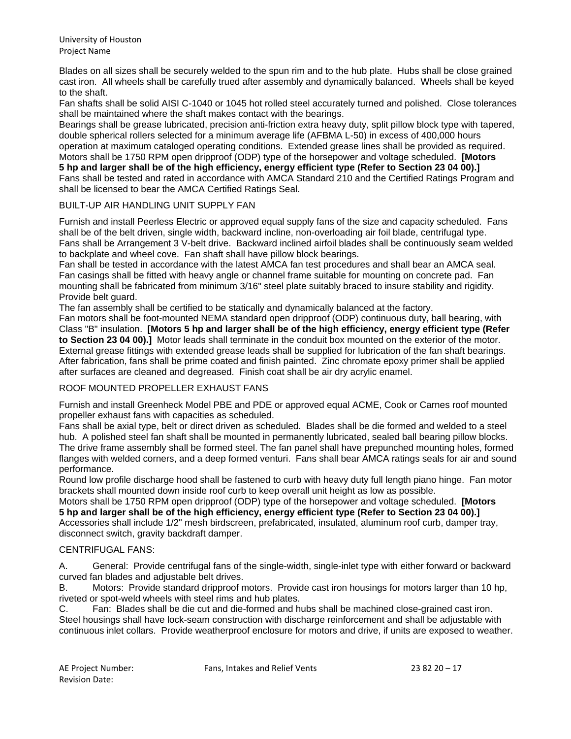Blades on all sizes shall be securely welded to the spun rim and to the hub plate. Hubs shall be close grained cast iron. All wheels shall be carefully trued after assembly and dynamically balanced. Wheels shall be keyed to the shaft.

Fan shafts shall be solid AISI C-1040 or 1045 hot rolled steel accurately turned and polished. Close tolerances shall be maintained where the shaft makes contact with the bearings.

Bearings shall be grease lubricated, precision anti-friction extra heavy duty, split pillow block type with tapered, double spherical rollers selected for a minimum average life (AFBMA L-50) in excess of 400,000 hours operation at maximum cataloged operating conditions. Extended grease lines shall be provided as required. Motors shall be 1750 RPM open dripproof (ODP) type of the horsepower and voltage scheduled. **[Motors 5 hp and larger shall be of the high efficiency, energy efficient type (Refer to Section 23 04 00).]** Fans shall be tested and rated in accordance with AMCA Standard 210 and the Certified Ratings Program and shall be licensed to bear the AMCA Certified Ratings Seal.

#### BUILT-UP AIR HANDLING UNIT SUPPLY FAN

Furnish and install Peerless Electric or approved equal supply fans of the size and capacity scheduled. Fans shall be of the belt driven, single width, backward incline, non-overloading air foil blade, centrifugal type. Fans shall be Arrangement 3 V-belt drive. Backward inclined airfoil blades shall be continuously seam welded to backplate and wheel cove. Fan shaft shall have pillow block bearings.

Fan shall be tested in accordance with the latest AMCA fan test procedures and shall bear an AMCA seal. Fan casings shall be fitted with heavy angle or channel frame suitable for mounting on concrete pad. Fan mounting shall be fabricated from minimum 3/16" steel plate suitably braced to insure stability and rigidity. Provide belt guard.

The fan assembly shall be certified to be statically and dynamically balanced at the factory.

Fan motors shall be foot-mounted NEMA standard open dripproof (ODP) continuous duty, ball bearing, with Class "B" insulation. **[Motors 5 hp and larger shall be of the high efficiency, energy efficient type (Refer to Section 23 04 00).]** Motor leads shall terminate in the conduit box mounted on the exterior of the motor. External grease fittings with extended grease leads shall be supplied for lubrication of the fan shaft bearings. After fabrication, fans shall be prime coated and finish painted. Zinc chromate epoxy primer shall be applied after surfaces are cleaned and degreased. Finish coat shall be air dry acrylic enamel.

#### ROOF MOUNTED PROPELLER EXHAUST FANS

Furnish and install Greenheck Model PBE and PDE or approved equal ACME, Cook or Carnes roof mounted propeller exhaust fans with capacities as scheduled.

Fans shall be axial type, belt or direct driven as scheduled. Blades shall be die formed and welded to a steel hub. A polished steel fan shaft shall be mounted in permanently lubricated, sealed ball bearing pillow blocks. The drive frame assembly shall be formed steel. The fan panel shall have prepunched mounting holes, formed flanges with welded corners, and a deep formed venturi. Fans shall bear AMCA ratings seals for air and sound performance.

Round low profile discharge hood shall be fastened to curb with heavy duty full length piano hinge. Fan motor brackets shall mounted down inside roof curb to keep overall unit height as low as possible.

Motors shall be 1750 RPM open dripproof (ODP) type of the horsepower and voltage scheduled. **[Motors 5 hp and larger shall be of the high efficiency, energy efficient type (Refer to Section 23 04 00).]** Accessories shall include 1/2" mesh birdscreen, prefabricated, insulated, aluminum roof curb, damper tray,

disconnect switch, gravity backdraft damper.

# CENTRIFUGAL FANS:

A. General: Provide centrifugal fans of the single-width, single-inlet type with either forward or backward curved fan blades and adjustable belt drives.

B. Motors: Provide standard dripproof motors. Provide cast iron housings for motors larger than 10 hp, riveted or spot-weld wheels with steel rims and hub plates.

C. Fan: Blades shall be die cut and die-formed and hubs shall be machined close-grained cast iron. Steel housings shall have lock-seam construction with discharge reinforcement and shall be adjustable with continuous inlet collars. Provide weatherproof enclosure for motors and drive, if units are exposed to weather.

AE Project Number: Fans, Intakes and Relief Vents 23 82 20 – 17